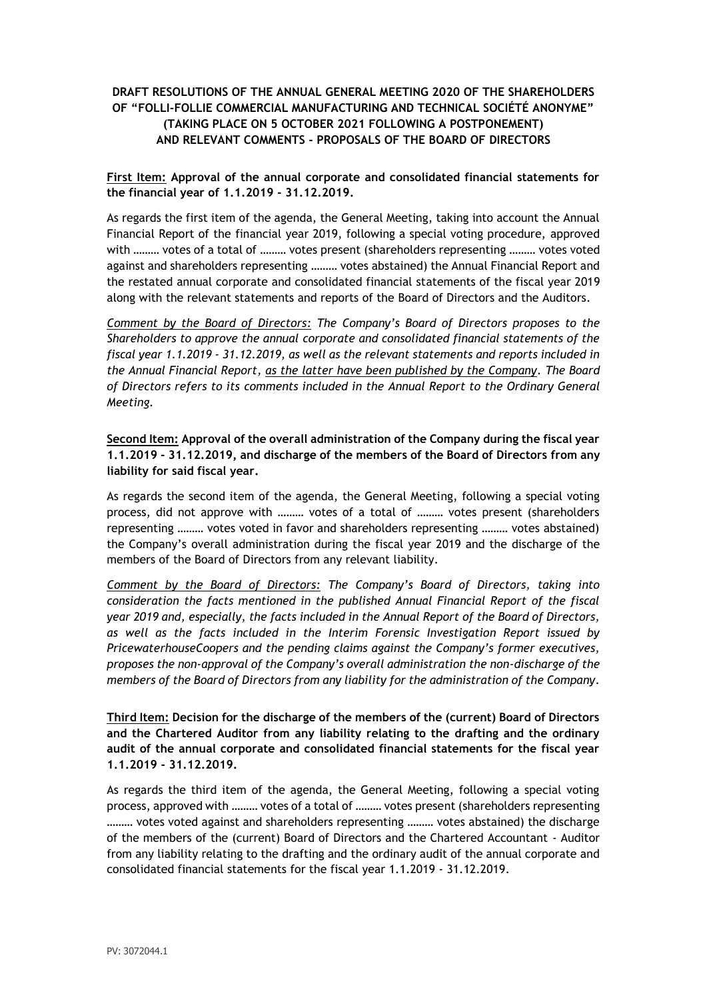# **DRAFT RESOLUTIONS OF THE ANNUAL GENERAL MEETING 2020 OF THE SHAREHOLDERS OF "FOLLI-FOLLIE COMMERCIAL MANUFACTURING AND TECHNICAL SOCIÉTÉ ANONYME" (TAKING PLACE ON 5 OCTOBER 2021 FOLLOWING A POSTPONEMENT) AND RELEVANT COMMENTS - PROPOSALS OF THE BOARD OF DIRECTORS**

## **First Item: Approval of the annual corporate and consolidated financial statements for the financial year of 1.1.2019 - 31.12.2019.**

As regards the first item of the agenda, the General Meeting, taking into account the Annual Financial Report of the financial year 2019, following a special voting procedure, approved with ……… votes of a total of ……… votes present (shareholders representing ……… votes voted against and shareholders representing ……… votes abstained) the Annual Financial Report and the restated annual corporate and consolidated financial statements of the fiscal year 2019 along with the relevant statements and reports of the Board of Directors and the Auditors.

*Comment by the Board of Directors: The Company's Board of Directors proposes to the Shareholders to approve the annual corporate and consolidated financial statements of the fiscal year 1.1.2019 - 31.12.2019, as well as the relevant statements and reports included in the Annual Financial Report, as the latter have been published by the Company. The Board of Directors refers to its comments included in the Annual Report to the Ordinary General Meeting.*

**Second Item: Approval of the overall administration of the Company during the fiscal year 1.1.2019 - 31.12.2019, and discharge of the members of the Board of Directors from any liability for said fiscal year.**

As regards the second item of the agenda, the General Meeting, following a special voting process, did not approve with ……… votes of a total of ……… votes present (shareholders representing ……… votes voted in favor and shareholders representing ……… votes abstained) the Company's overall administration during the fiscal year 2019 and the discharge of the members of the Board of Directors from any relevant liability.

*Comment by the Board of Directors: The Company's Board of Directors, taking into consideration the facts mentioned in the published Annual Financial Report of the fiscal year 2019 and, especially, the facts included in the Annual Report of the Board of Directors, as well as the facts included in the Interim Forensic Investigation Report issued by PricewaterhouseCoopers and the pending claims against the Company's former executives, proposes the non-approval of the Company's overall administration the non-discharge of the members of the Board of Directors from any liability for the administration of the Company.*

**Third Item: Decision for the discharge of the members of the (current) Board of Directors and the Chartered Auditor from any liability relating to the drafting and the ordinary audit of the annual corporate and consolidated financial statements for the fiscal year 1.1.2019 - 31.12.2019.**

As regards the third item of the agenda, the General Meeting, following a special voting process, approved with ……… votes of a total of ……… votes present (shareholders representing ……… votes voted against and shareholders representing ……… votes abstained) the discharge of the members of the (current) Board of Directors and the Chartered Accountant - Auditor from any liability relating to the drafting and the ordinary audit of the annual corporate and consolidated financial statements for the fiscal year 1.1.2019 - 31.12.2019.